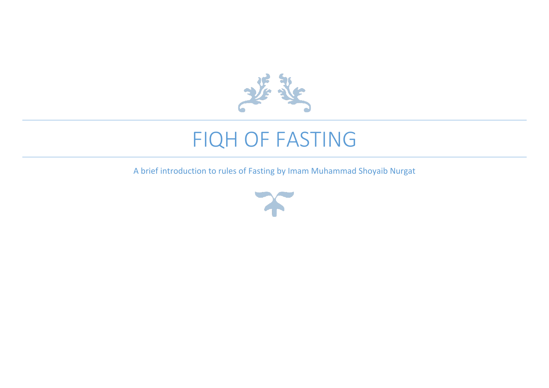

# FIQH OF FASTING

A brief introduction to rules of Fasting by Imam Muhammad Shoyaib Nurgat

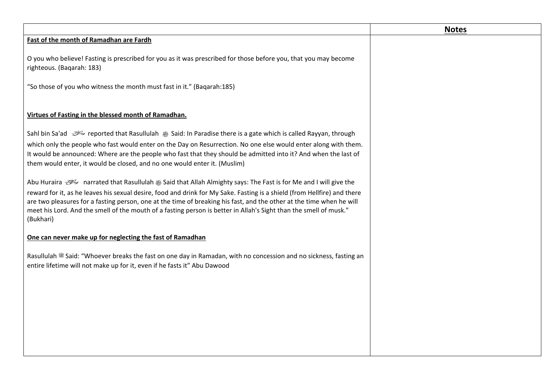|                                                                                                                                                                                                                                                                                                                                                                                    | <b>Notes</b> |
|------------------------------------------------------------------------------------------------------------------------------------------------------------------------------------------------------------------------------------------------------------------------------------------------------------------------------------------------------------------------------------|--------------|
| Fast of the month of Ramadhan are Fardh                                                                                                                                                                                                                                                                                                                                            |              |
| O you who believe! Fasting is prescribed for you as it was prescribed for those before you, that you may become<br>righteous. (Baqarah: 183)                                                                                                                                                                                                                                       |              |
| "So those of you who witness the month must fast in it." (Baqarah:185)                                                                                                                                                                                                                                                                                                             |              |
| Virtues of Fasting in the blessed month of Ramadhan.                                                                                                                                                                                                                                                                                                                               |              |
| reported that Rasullulah ﷺ Said: In Paradise there is a gate which is called Rayyan, through                                                                                                                                                                                                                                                                                       |              |
| which only the people who fast would enter on the Day on Resurrection. No one else would enter along with them.<br>It would be announced: Where are the people who fast that they should be admitted into it? And when the last of<br>them would enter, it would be closed, and no one would enter it. (Muslim)                                                                    |              |
| narrated that Rasullulah ﷺ Said that Allah Almighty says: The Fast is for Me and I will give the منتخف Abu Huraira                                                                                                                                                                                                                                                                 |              |
| reward for it, as he leaves his sexual desire, food and drink for My Sake. Fasting is a shield (from Hellfire) and there<br>are two pleasures for a fasting person, one at the time of breaking his fast, and the other at the time when he will<br>meet his Lord. And the smell of the mouth of a fasting person is better in Allah's Sight than the smell of musk."<br>(Bukhari) |              |
| One can never make up for neglecting the fast of Ramadhan                                                                                                                                                                                                                                                                                                                          |              |
| Rasullulah <a>Said: "Whoever breaks the fast on one day in Ramadan, with no concession and no sickness, fasting an<br/>entire lifetime will not make up for it, even if he fasts it" Abu Dawood</a>                                                                                                                                                                                |              |
|                                                                                                                                                                                                                                                                                                                                                                                    |              |
|                                                                                                                                                                                                                                                                                                                                                                                    |              |
|                                                                                                                                                                                                                                                                                                                                                                                    |              |
|                                                                                                                                                                                                                                                                                                                                                                                    |              |
|                                                                                                                                                                                                                                                                                                                                                                                    |              |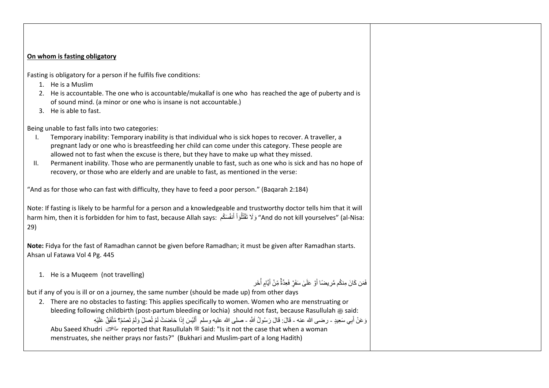## **On whom is fasting obligatory**

Fasting is obligatory for a person if he fulfils five conditions:

- 1. He is a Muslim
- 2. He is accountable. The one who is accountable/mukallaf is one who has reached the age of puberty and is of sound mind. (a minor or one who is insane is not accountable.)
- 3. He is able to fast.

Being unable to fast falls into two categories:

- I. Temporary inability: Temporary inability is that individual who is sick hopes to recover. A traveller, a pregnant lady or one who is breastfeeding her child can come under this category. These people are allowed not to fast when the excuse is there, but they have to make up what they missed.
- II. Permanent inability. Those who are permanently unable to fast, such as one who is sick and has no hope of recovery, or those who are elderly and are unable to fast, as mentioned in the verse:

"And as for those who can fast with difficulty, they have to feed a poor person." (Baqarah 2:184)

Note: If fasting is likely to be harmful for a person and a knowledgeable and trustworthy doctor tells him that it will harm him, then it is forbidden for him to fast, because Allah says: وَلَا تَقَتْلُوْاْ أَنفُسَكُم "And do not kill yourselves" (al-Nisa: í ا<br>ا َ 29)

**Note:** Fidya for the fast of Ramadhan cannot be given before Ramadhan; it must be given after Ramadhan starts. Ahsan ul Fatawa Vol 4 Pg. 445

1. He is a Muqeem (not travelling)

فَمَن كَانَ مِنكُم مَّرِ يضمَّا أَوَّ عَلَىٰ سَفَزٍ فَعِدَّةٌ مِّنْ أَيَّامٍ أُخَر َ ì ا<br>أحداث ال

but if any of you is ill or on a journey, the same number (should be made up) from other days

2. There are no obstacles to fasting: This applies specifically to women. Women who are menstruating or bleeding following childbirth (post-partum bleeding or lochia) should not fast, because Rasullulah  $$$  said: وَعَنْ أَبِي سَعِيدٍ - رضـى الله عنـه - قَالَ: قَالَ رَسُولُ اَللَّهِ - صلـى الله عليه وسلم ۚ أَلَيْسَ إِذَا حَاضَنتْ لَمْ تُصَلِّ وَلَمْ تَصُمْ؟ مُتَّفَقٌّ عَلَيْهِ لَ َ Abu Saeed Khudri reported that Rasullulah صلى الله عليه وسلم Said: "Is it not the case that when a woman menstruates, she neither prays nor fasts?" (Bukhari and Muslim-part of a long Hadith)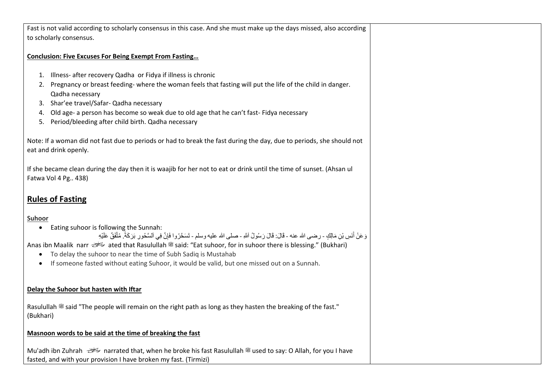Fast is not valid according to scholarly consensus in this case. And she must make up the days missed, also according to scholarly consensus.

#### **Conclusion: Five Excuses For Being Exempt From Fasting…**

- 1. Illness- after recovery Qadha or Fidya if illness is chronic
- 2. Pregnancy or breast feeding- where the woman feels that fasting will put the life of the child in danger. Qadha necessary
- 3. Shar'ee travel/Safar- Qadha necessary
- 4. Old age- a person has become so weak due to old age that he can't fast- Fidya necessary
- 5. Period/bleeding after child birth. Qadha necessary

Note: If a woman did not fast due to periods or had to break the fast during the day, due to periods, she should not eat and drink openly.

If she became clean during the day then it is waajib for her not to eat or drink until the time of sunset. (Ahsan ul Fatwa Vol 4 Pg.. 438)

# **Rules of Fasting**

## **Suhoor**

• Eating suhoor is following the Sunnah:

وَ عَنْ أَنَسِ بْنِ مَالِكٍ - رضـى الله عنـه - قَالَ: قَالَ رَسُولُ اَللَهِ - صلـى الله عليه وسلم - تَسَحَّرُوا فَإِنَّ فِي اَلسَّحُورِ بَرَكَةً. مُثَّفَقٌّ عَلَيْهِ َ

Anas ibn Maalik narr  $\frac{1}{2}$  ated that Rasulullah  $\frac{1}{2}$  said: "Eat suhoor, for in suhoor there is blessing." (Bukhari)

- To delay the suhoor to near the time of Subh Sadiq is Mustahab
- If someone fasted without eating Suhoor, it would be valid, but one missed out on a Sunnah.

## **Delay the Suhoor but hasten with Iftar**

Rasulullah  $\frac{400}{100}$  said "The people will remain on the right path as long as they hasten the breaking of the fast." (Bukhari)

## **Masnoon words to be said at the time of breaking the fast**

Mu'adh ibn Zuhrah  $\gg$  narrated that, when he broke his fast Rasulullah  $\approx$  used to say: O Allah, for you I have fasted, and with your provision I have broken my fast. (Tirmizi)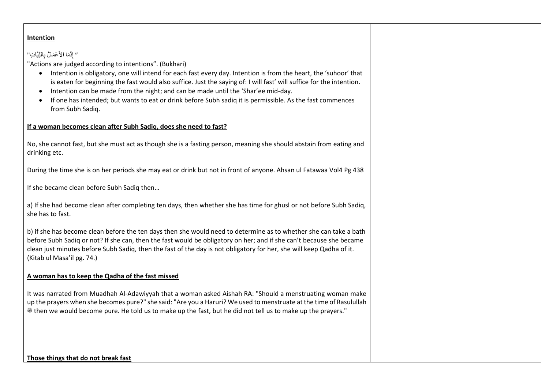# **Intention**

# " إِنَّمَا الأَعْمَالُ بِالنِّيَّاتِ"

"Actions are judged according to intentions". (Bukhari)

- Intention is obligatory, one will intend for each fast every day. Intention is from the heart, the 'suhoor' that is eaten for beginning the fast would also suffice. Just the saying of: I will fast' will suffice for the intention.
- Intention can be made from the night; and can be made until the 'Shar'ee mid-day.
- If one has intended; but wants to eat or drink before Subh sadiq it is permissible. As the fast commences from Subh Sadiq.

## **If a woman becomes clean after Subh Sadiq, does she need to fast?**

No, she cannot fast, but she must act as though she is a fasting person, meaning she should abstain from eating and drinking etc.

During the time she is on her periods she may eat or drink but not in front of anyone. Ahsan ul Fatawaa Vol4 Pg 438

If she became clean before Subh Sadiq then…

a) If she had become clean after completing ten days, then whether she has time for ghusl or not before Subh Sadiq, she has to fast.

b) if she has become clean before the ten days then she would need to determine as to whether she can take a bath before Subh Sadiq or not? If she can, then the fast would be obligatory on her; and if she can't because she became clean just minutes before Subh Sadiq, then the fast of the day is not obligatory for her, she will keep Qadha of it. (Kitab ul Masa'il pg. 74.)

#### **A woman has to keep the Qadha of the fast missed**

It was narrated from Muadhah Al-Adawiyyah that a woman asked Aishah RA: "Should a menstruating woman make up the prayers when she becomes pure?" she said: "Are you a Haruri? We used to menstruate at the time of Rasulullah صلى الله عليه وسلم then we would become pure. He told us to make up the fast, but he did not tell us to make up the prayers."

#### **Those things that do not break fast**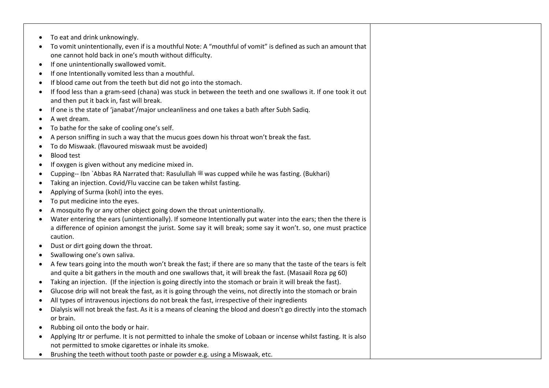- To eat and drink unknowingly.
- To vomit unintentionally, even if is a mouthful Note: A "mouthful of vomit" is defined as such an amount that one cannot hold back in one's mouth without difficulty.
- If one unintentionally swallowed vomit.
- If one Intentionally vomited less than a mouthful.
- If blood came out from the teeth but did not go into the stomach.
- If food less than a gram-seed (chana) was stuck in between the teeth and one swallows it. If one took it out and then put it back in, fast will break.
- If one is the state of 'janabat'/major uncleanliness and one takes a bath after Subh Sadiq.
- A wet dream.
- To bathe for the sake of cooling one's self.
- A person sniffing in such a way that the mucus goes down his throat won't break the fast.
- To do Miswaak. (flavoured miswaak must be avoided)
- Blood test
- If oxygen is given without any medicine mixed in.
- Cupping-- Ibn `Abbas RA Narrated that: Rasulullah  $\frac{46}{30}$  was cupped while he was fasting. (Bukhari)
- Taking an injection. Covid/Flu vaccine can be taken whilst fasting.
- Applying of Surma (kohl) into the eyes.
- To put medicine into the eyes.
- A mosquito fly or any other object going down the throat unintentionally.
- Water entering the ears (unintentionally). If someone Intentionally put water into the ears; then the there is a difference of opinion amongst the jurist. Some say it will break; some say it won't. so, one must practice caution.
- Dust or dirt going down the throat.
- Swallowing one's own saliva.
- A few tears going into the mouth won't break the fast; if there are so many that the taste of the tears is felt and quite a bit gathers in the mouth and one swallows that, it will break the fast. (Masaail Roza pg 60)
- Taking an injection. (If the injection is going directly into the stomach or brain it will break the fast).
- Glucose drip will not break the fast, as it is going through the veins, not directly into the stomach or brain
- All types of intravenous injections do not break the fast, irrespective of their ingredients
- Dialysis will not break the fast. As it is a means of cleaning the blood and doesn't go directly into the stomach or brain.
- Rubbing oil onto the body or hair.
- Applying Itr or perfume. It is not permitted to inhale the smoke of Lobaan or incense whilst fasting. It is also not permitted to smoke cigarettes or inhale its smoke.
- Brushing the teeth without tooth paste or powder e.g. using a Miswaak, etc.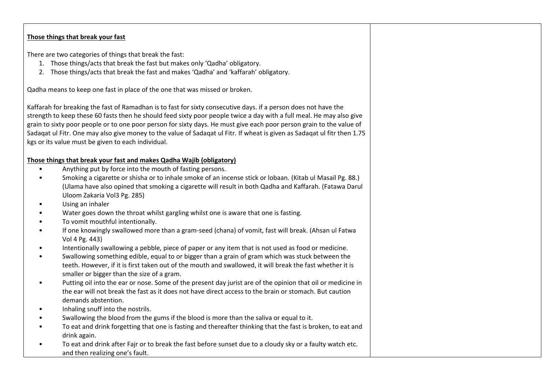## **Those things that break your fast**

There are two categories of things that break the fast:

- 1. Those things/acts that break the fast but makes only 'Qadha' obligatory.
- 2. Those things/acts that break the fast and makes 'Qadha' and 'kaffarah' obligatory.

Qadha means to keep one fast in place of the one that was missed or broken.

Kaffarah for breaking the fast of Ramadhan is to fast for sixty consecutive days. if a person does not have the strength to keep these 60 fasts then he should feed sixty poor people twice a day with a full meal. He may also give grain to sixty poor people or to one poor person for sixty days. He must give each poor person grain to the value of Sadaqat ul Fitr. One may also give money to the value of Sadaqat ul Fitr. If wheat is given as Sadaqat ul fitr then 1.75 kgs or its value must be given to each individual.

## **Those things that break your fast and makes Qadha Wajib (obligatory)**

- Anything put by force into the mouth of fasting persons.
- Smoking a cigarette or shisha or to inhale smoke of an incense stick or lobaan. (Kitab ul Masail Pg. 88.) (Ulama have also opined that smoking a cigarette will result in both Qadha and Kaffarah. (Fatawa Darul Uloom Zakaria Vol3 Pg. 285)
- Using an inhaler
- Water goes down the throat whilst gargling whilst one is aware that one is fasting.
- To vomit mouthful intentionally.
- If one knowingly swallowed more than a gram-seed (chana) of vomit, fast will break. (Ahsan ul Fatwa Vol 4 Pg. 443)
- Intentionally swallowing a pebble, piece of paper or any item that is not used as food or medicine.
- Swallowing something edible, equal to or bigger than a grain of gram which was stuck between the teeth. However, if it is first taken out of the mouth and swallowed, it will break the fast whether it is smaller or bigger than the size of a gram.
- Putting oil into the ear or nose. Some of the present day jurist are of the opinion that oil or medicine in the ear will not break the fast as it does not have direct access to the brain or stomach. But caution demands abstention.
- Inhaling snuff into the nostrils.
- Swallowing the blood from the gums if the blood is more than the saliva or equal to it.
- To eat and drink forgetting that one is fasting and thereafter thinking that the fast is broken, to eat and drink again.
- To eat and drink after Fajr or to break the fast before sunset due to a cloudy sky or a faulty watch etc. and then realizing one's fault.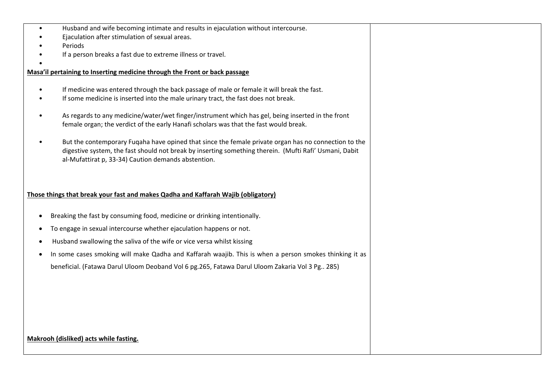- Husband and wife becoming intimate and results in ejaculation without intercourse.
- Ejaculation after stimulation of sexual areas.
- Periods
- If a person breaks a fast due to extreme illness or travel.

#### • **Masa'il pertaining to Inserting medicine through the Front or back passage**

- If medicine was entered through the back passage of male or female it will break the fast.
- If some medicine is inserted into the male urinary tract, the fast does not break.
- As regards to any medicine/water/wet finger/instrument which has gel, being inserted in the front female organ; the verdict of the early Hanafi scholars was that the fast would break.
- But the contemporary Fuqaha have opined that since the female private organ has no connection to the digestive system, the fast should not break by inserting something therein. (Mufti Rafi' Usmani, Dabit al-Mufattirat p, 33-34) Caution demands abstention.

## **Those things that break your fast and makes Qadha and Kaffarah Wajib (obligatory)**

- Breaking the fast by consuming food, medicine or drinking intentionally.
- To engage in sexual intercourse whether ejaculation happens or not.
- Husband swallowing the saliva of the wife or vice versa whilst kissing
- In some cases smoking will make Qadha and Kaffarah waajib. This is when a person smokes thinking it as beneficial. (Fatawa Darul Uloom Deoband Vol 6 pg.265, Fatawa Darul Uloom Zakaria Vol 3 Pg.. 285)

#### **Makrooh (disliked) acts while fasting.**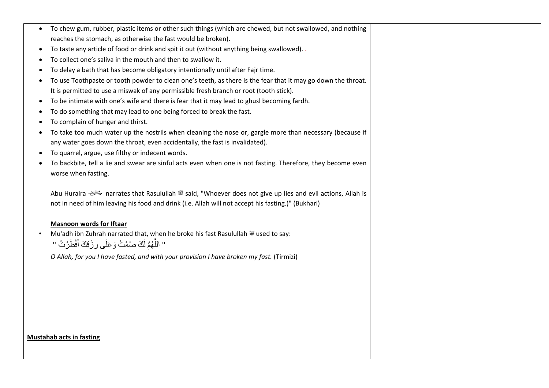• To chew gum, rubber, plastic items or other such things (which are chewed, but not swallowed, and nothing reaches the stomach, as otherwise the fast would be broken). • To taste any article of food or drink and spit it out (without anything being swallowed). . • To collect one's saliva in the mouth and then to swallow it. • To delay a bath that has become obligatory intentionally until after Fajr time. • To use Toothpaste or tooth powder to clean one's teeth, as there is the fear that it may go down the throat. It is permitted to use a miswak of any permissible fresh branch or root (tooth stick). • To be intimate with one's wife and there is fear that it may lead to ghusl becoming fardh. • To do something that may lead to one being forced to break the fast. • To complain of hunger and thirst. • To take too much water up the nostrils when cleaning the nose or, gargle more than necessary (because if any water goes down the throat, even accidentally, the fast is invalidated). • To quarrel, argue, use filthy or indecent words. • To backbite, tell a lie and swear are sinful acts even when one is not fasting. Therefore, they become even worse when fasting. Abu Huraira  $\stackrel{\text{def}}{\leq}$  narrates that Rasulullah  $\stackrel{\text{def}}{\leq}$  said, "Whoever does not give up lies and evil actions, Allah is not in need of him leaving his food and drink (i.e. Allah will not accept his fasting.)" (Bukhari) **Masnoon words for Iftaar** Mu'adh ibn Zuhrah narrated that, when he broke his fast Rasulullah <sup>26</sup> used to say: " اللَّهُمَّ لَكَ صُمْتُ وَعَلَى رِزْقِكَ أَفْطَرْتُ " *O Allah, for you I have fasted, and with your provision I have broken my fast.* (Tirmizi)

#### **Mustahab acts in fasting**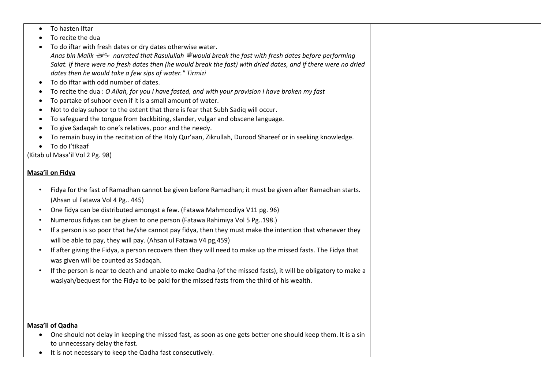- To hasten Iftar
- To recite the dua
- To do iftar with fresh dates or dry dates otherwise water. *Anas bin Malik narrated that Rasulullah* صلى الله عليه وسلم *would break the fast with fresh dates before performing Salat. If there were no fresh dates then (he would break the fast) with dried dates, and if there were no dried dates then he would take a few sips of water." Tirmizi*
- To do iftar with odd number of dates.
- To recite the dua : *O Allah, for you I have fasted, and with your provision I have broken my fast*
- To partake of suhoor even if it is a small amount of water.
- Not to delay suhoor to the extent that there is fear that Subh Sadiq will occur.
- To safeguard the tongue from backbiting, slander, vulgar and obscene language.
- To give Sadaqah to one's relatives, poor and the needy.
- To remain busy in the recitation of the Holy Qur'aan, Zikrullah, Durood Shareef or in seeking knowledge.
- To do I'tikaaf

(Kitab ul Masa'il Vol 2 Pg. 98)

# **Masa'il on Fidya**

- Fidya for the fast of Ramadhan cannot be given before Ramadhan; it must be given after Ramadhan starts. (Ahsan ul Fatawa Vol 4 Pg.. 445)
- One fidya can be distributed amongst a few. (Fatawa Mahmoodiya V11 pg. 96)
- Numerous fidyas can be given to one person (Fatawa Rahimiya Vol 5 Pg..198.)
- If a person is so poor that he/she cannot pay fidya, then they must make the intention that whenever they will be able to pay, they will pay. (Ahsan ul Fatawa V4 pg,459)
- If after giving the Fidya, a person recovers then they will need to make up the missed fasts. The Fidya that was given will be counted as Sadaqah.
- If the person is near to death and unable to make Qadha (of the missed fasts), it will be obligatory to make a wasiyah/bequest for the Fidya to be paid for the missed fasts from the third of his wealth.

## **Masa'il of Qadha**

- One should not delay in keeping the missed fast, as soon as one gets better one should keep them. It is a sin to unnecessary delay the fast.
- It is not necessary to keep the Qadha fast consecutively.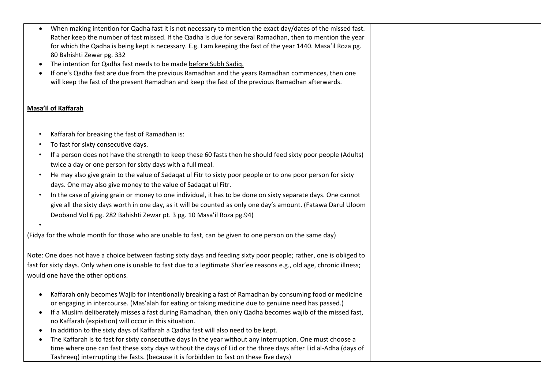- When making intention for Qadha fast it is not necessary to mention the exact day/dates of the missed fast. Rather keep the number of fast missed. If the Qadha is due for several Ramadhan, then to mention the year for which the Qadha is being kept is necessary. E.g. I am keeping the fast of the year 1440. Masa'il Roza pg. 80 Bahishti Zewar pg. 332
- The intention for Qadha fast needs to be made before Subh Sadiq.
- If one's Qadha fast are due from the previous Ramadhan and the years Ramadhan commences, then one will keep the fast of the present Ramadhan and keep the fast of the previous Ramadhan afterwards.

# **Masa'il of Kaffarah**

•

- Kaffarah for breaking the fast of Ramadhan is:
- To fast for sixty consecutive days.
- If a person does not have the strength to keep these 60 fasts then he should feed sixty poor people (Adults) twice a day or one person for sixty days with a full meal.
- He may also give grain to the value of Sadaqat ul Fitr to sixty poor people or to one poor person for sixty days. One may also give money to the value of Sadaqat ul Fitr.
- In the case of giving grain or money to one individual, it has to be done on sixty separate days. One cannot give all the sixty days worth in one day, as it will be counted as only one day's amount. (Fatawa Darul Uloom Deoband Vol 6 pg. 282 Bahishti Zewar pt. 3 pg. 10 Masa'il Roza pg.94)

(Fidya for the whole month for those who are unable to fast, can be given to one person on the same day)

Note: One does not have a choice between fasting sixty days and feeding sixty poor people; rather, one is obliged to fast for sixty days. Only when one is unable to fast due to a legitimate Shar'ee reasons e.g., old age, chronic illness; would one have the other options.

- Kaffarah only becomes Wajib for intentionally breaking a fast of Ramadhan by consuming food or medicine or engaging in intercourse. (Mas'alah for eating or taking medicine due to genuine need has passed.)
- If a Muslim deliberately misses a fast during Ramadhan, then only Qadha becomes wajib of the missed fast, no Kaffarah (expiation) will occur in this situation.
- In addition to the sixty days of Kaffarah a Qadha fast will also need to be kept.
- The Kaffarah is to fast for sixty consecutive days in the year without any interruption. One must choose a time where one can fast these sixty days without the days of Eid or the three days after Eid al-Adha (days of Tashreeq) interrupting the fasts. (because it is forbidden to fast on these five days)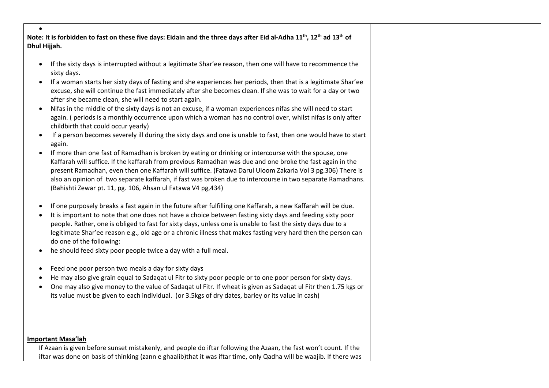• **Note: It is forbidden to fast on these five days: Eidain and the three days after Eid al-Adha 11th, 12th ad 13th of Dhul Hijjah.**

- If the sixty days is interrupted without a legitimate Shar'ee reason, then one will have to recommence the sixty days.
- If a woman starts her sixty days of fasting and she experiences her periods, then that is a legitimate Shar'ee excuse, she will continue the fast immediately after she becomes clean. If she was to wait for a day or two after she became clean, she will need to start again.
- Nifas in the middle of the sixty days is not an excuse, if a woman experiences nifas she will need to start again. ( periods is a monthly occurrence upon which a woman has no control over, whilst nifas is only after childbirth that could occur yearly)
- If a person becomes severely ill during the sixty days and one is unable to fast, then one would have to start again.
- If more than one fast of Ramadhan is broken by eating or drinking or intercourse with the spouse, one Kaffarah will suffice. If the kaffarah from previous Ramadhan was due and one broke the fast again in the present Ramadhan, even then one Kaffarah will suffice. (Fatawa Darul Uloom Zakaria Vol 3 pg.306) There is also an opinion of two separate kaffarah, if fast was broken due to intercourse in two separate Ramadhans. (Bahishti Zewar pt. 11, pg. 106, Ahsan ul Fatawa V4 pg,434)
- If one purposely breaks a fast again in the future after fulfilling one Kaffarah, a new Kaffarah will be due.
- It is important to note that one does not have a choice between fasting sixty days and feeding sixty poor people. Rather, one is obliged to fast for sixty days, unless one is unable to fast the sixty days due to a legitimate Shar'ee reason e.g., old age or a chronic illness that makes fasting very hard then the person can do one of the following:
- he should feed sixty poor people twice a day with a full meal.
- Feed one poor person two meals a day for sixty days
- He may also give grain equal to Sadaqat ul Fitr to sixty poor people or to one poor person for sixty days.
- One may also give money to the value of Sadaqat ul Fitr. If wheat is given as Sadaqat ul Fitr then 1.75 kgs or its value must be given to each individual. (or 3.5kgs of dry dates, barley or its value in cash)

#### **Important Masa'lah**

If Azaan is given before sunset mistakenly, and people do iftar following the Azaan, the fast won't count. If the iftar was done on basis of thinking (zann e ghaalib)that it was iftar time, only Qadha will be waajib. If there was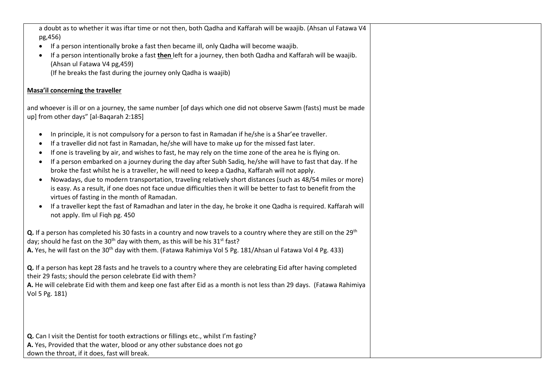a doubt as to whether it was iftar time or not then, both Qadha and Kaffarah will be waajib. (Ahsan ul Fatawa V4 pg,456) • If a person intentionally broke a fast then became ill, only Qadha will become waajib. • If a person intentionally broke a fast **then** left for a journey, then both Qadha and Kaffarah will be waajib. (Ahsan ul Fatawa V4 pg,459) (If he breaks the fast during the journey only Qadha is waajib) **Masa'il concerning the traveller** and whoever is ill or on a journey, the same number [of days which one did not observe Sawm (fasts) must be made up] from other days" [al-Baqarah 2:185] • In principle, it is not compulsory for a person to fast in Ramadan if he/she is a Shar'ee traveller. • If a traveller did not fast in Ramadan, he/she will have to make up for the missed fast later. • If one is traveling by air, and wishes to fast, he may rely on the time zone of the area he is flying on. • If a person embarked on a journey during the day after Subh Sadiq, he/she will have to fast that day. If he broke the fast whilst he is a traveller, he will need to keep a Qadha, Kaffarah will not apply. • Nowadays, due to modern transportation, traveling relatively short distances (such as 48/54 miles or more) is easy. As a result, if one does not face undue difficulties then it will be better to fast to benefit from the virtues of fasting in the month of Ramadan. • If a traveller kept the fast of Ramadhan and later in the day, he broke it one Qadha is required. Kaffarah will not apply. Ilm ul Fiqh pg. 450 **Q.** If a person has completed his 30 fasts in a country and now travels to a country where they are still on the 29<sup>th</sup> day; should he fast on the 30<sup>th</sup> day with them, as this will be his 31<sup>st</sup> fast? **A.** Yes, he will fast on the 30<sup>th</sup> day with them. (Fatawa Rahimiya Vol 5 Pg. 181/Ahsan ul Fatawa Vol 4 Pg. 433) **Q.** If a person has kept 28 fasts and he travels to a country where they are celebrating Eid after having completed their 29 fasts; should the person celebrate Eid with them? **A.** He will celebrate Eid with them and keep one fast after Eid as a month is not less than 29 days. (Fatawa Rahimiya Vol 5 Pg. 181) **Q.** Can I visit the Dentist for tooth extractions or fillings etc., whilst I'm fasting? **A.** Yes, Provided that the water, blood or any other substance does not go down the throat, if it does, fast will break.